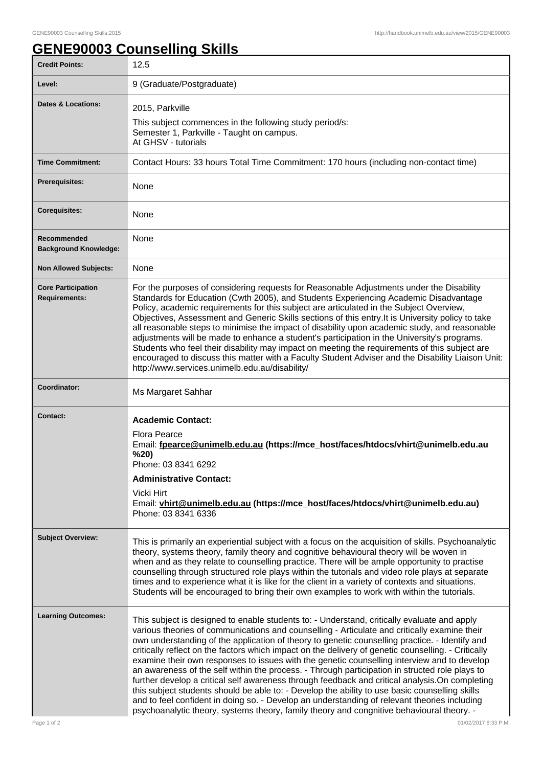## **GENE90003 Counselling Skills**

| <b>Credit Points:</b>                             | 12.5                                                                                                                                                                                                                                                                                                                                                                                                                                                                                                                                                                                                                                                                                                                                                                                                                                                                                                                                                                                                    |
|---------------------------------------------------|---------------------------------------------------------------------------------------------------------------------------------------------------------------------------------------------------------------------------------------------------------------------------------------------------------------------------------------------------------------------------------------------------------------------------------------------------------------------------------------------------------------------------------------------------------------------------------------------------------------------------------------------------------------------------------------------------------------------------------------------------------------------------------------------------------------------------------------------------------------------------------------------------------------------------------------------------------------------------------------------------------|
| Level:                                            | 9 (Graduate/Postgraduate)                                                                                                                                                                                                                                                                                                                                                                                                                                                                                                                                                                                                                                                                                                                                                                                                                                                                                                                                                                               |
| <b>Dates &amp; Locations:</b>                     | 2015, Parkville<br>This subject commences in the following study period/s:<br>Semester 1, Parkville - Taught on campus.<br>At GHSV - tutorials                                                                                                                                                                                                                                                                                                                                                                                                                                                                                                                                                                                                                                                                                                                                                                                                                                                          |
| <b>Time Commitment:</b>                           | Contact Hours: 33 hours Total Time Commitment: 170 hours (including non-contact time)                                                                                                                                                                                                                                                                                                                                                                                                                                                                                                                                                                                                                                                                                                                                                                                                                                                                                                                   |
| <b>Prerequisites:</b>                             | None                                                                                                                                                                                                                                                                                                                                                                                                                                                                                                                                                                                                                                                                                                                                                                                                                                                                                                                                                                                                    |
| <b>Corequisites:</b>                              | None                                                                                                                                                                                                                                                                                                                                                                                                                                                                                                                                                                                                                                                                                                                                                                                                                                                                                                                                                                                                    |
| Recommended<br><b>Background Knowledge:</b>       | None                                                                                                                                                                                                                                                                                                                                                                                                                                                                                                                                                                                                                                                                                                                                                                                                                                                                                                                                                                                                    |
| <b>Non Allowed Subjects:</b>                      | None                                                                                                                                                                                                                                                                                                                                                                                                                                                                                                                                                                                                                                                                                                                                                                                                                                                                                                                                                                                                    |
| <b>Core Participation</b><br><b>Requirements:</b> | For the purposes of considering requests for Reasonable Adjustments under the Disability<br>Standards for Education (Cwth 2005), and Students Experiencing Academic Disadvantage<br>Policy, academic requirements for this subject are articulated in the Subject Overview,<br>Objectives, Assessment and Generic Skills sections of this entry. It is University policy to take<br>all reasonable steps to minimise the impact of disability upon academic study, and reasonable<br>adjustments will be made to enhance a student's participation in the University's programs.<br>Students who feel their disability may impact on meeting the requirements of this subject are<br>encouraged to discuss this matter with a Faculty Student Adviser and the Disability Liaison Unit:<br>http://www.services.unimelb.edu.au/disability/                                                                                                                                                                |
| Coordinator:                                      | Ms Margaret Sahhar                                                                                                                                                                                                                                                                                                                                                                                                                                                                                                                                                                                                                                                                                                                                                                                                                                                                                                                                                                                      |
| <b>Contact:</b>                                   | <b>Academic Contact:</b><br>Flora Pearce<br>Email: fpearce@unimelb.edu.au (https://mce_host/faces/htdocs/vhirt@unimelb.edu.au<br>%20)<br>Phone: 03 8341 6292<br><b>Administrative Contact:</b><br>Vicki Hirt<br>Email: vhirt@unimelb.edu.au (https://mce_host/faces/htdocs/vhirt@unimelb.edu.au)<br>Phone: 03 8341 6336                                                                                                                                                                                                                                                                                                                                                                                                                                                                                                                                                                                                                                                                                 |
| <b>Subject Overview:</b>                          | This is primarily an experiential subject with a focus on the acquisition of skills. Psychoanalytic<br>theory, systems theory, family theory and cognitive behavioural theory will be woven in<br>when and as they relate to counselling practice. There will be ample opportunity to practise<br>counselling through structured role plays within the tutorials and video role plays at separate<br>times and to experience what it is like for the client in a variety of contexts and situations.<br>Students will be encouraged to bring their own examples to work with within the tutorials.                                                                                                                                                                                                                                                                                                                                                                                                      |
| <b>Learning Outcomes:</b>                         | This subject is designed to enable students to: - Understand, critically evaluate and apply<br>various theories of communications and counselling - Articulate and critically examine their<br>own understanding of the application of theory to genetic counselling practice. - Identify and<br>critically reflect on the factors which impact on the delivery of genetic counselling. - Critically<br>examine their own responses to issues with the genetic counselling interview and to develop<br>an awareness of the self within the process. - Through participation in structed role plays to<br>further develop a critical self awareness through feedback and critical analysis. On completing<br>this subject students should be able to: - Develop the ability to use basic counselling skills<br>and to feel confident in doing so. - Develop an understanding of relevant theories including<br>psychoanalytic theory, systems theory, family theory and congnitive behavioural theory. - |